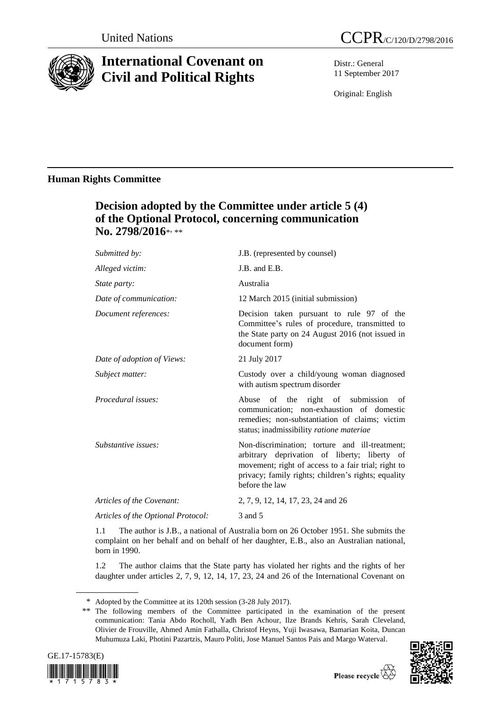

# **International Covenant on Civil and Political Rights**

Distr.: General 11 September 2017

Original: English

# **Human Rights Committee**

# **Decision adopted by the Committee under article 5 (4) of the Optional Protocol, concerning communication**  No. 2798/2016\*<sub>\*\*\*</sub>

| Submitted by:                      | J.B. (represented by counsel)                                                                                                                                                                                                  |
|------------------------------------|--------------------------------------------------------------------------------------------------------------------------------------------------------------------------------------------------------------------------------|
| Alleged victim:                    | J.B. and E.B.                                                                                                                                                                                                                  |
| <i>State party:</i>                | Australia                                                                                                                                                                                                                      |
| Date of communication:             | 12 March 2015 (initial submission)                                                                                                                                                                                             |
| Document references:               | Decision taken pursuant to rule 97 of the<br>Committee's rules of procedure, transmitted to<br>the State party on 24 August 2016 (not issued in<br>document form)                                                              |
| Date of adoption of Views:         | 21 July 2017                                                                                                                                                                                                                   |
| Subject matter:                    | Custody over a child/young woman diagnosed<br>with autism spectrum disorder                                                                                                                                                    |
| Procedural issues:                 | Abuse of the right of submission<br>of<br>communication; non-exhaustion of domestic<br>remedies; non-substantiation of claims; victim<br>status; inadmissibility ratione materiae                                              |
| Substantive issues:                | Non-discrimination; torture and ill-treatment;<br>arbitrary deprivation of liberty; liberty of<br>movement; right of access to a fair trial; right to<br>privacy; family rights; children's rights; equality<br>before the law |
| Articles of the Covenant:          | 2, 7, 9, 12, 14, 17, 23, 24 and 26                                                                                                                                                                                             |
| Articles of the Optional Protocol: | 3 and 5                                                                                                                                                                                                                        |

1.1 The author is J.B., a national of Australia born on 26 October 1951. She submits the complaint on her behalf and on behalf of her daughter, E.B., also an Australian national, born in 1990.

1.2 The author claims that the State party has violated her rights and the rights of her daughter under articles 2, 7, 9, 12, 14, 17, 23, 24 and 26 of the International Covenant on

<sup>\*\*</sup> The following members of the Committee participated in the examination of the present communication: Tania Abdo Rocholl, Yadh Ben Achour, Ilze Brands Kehris, Sarah Cleveland, Olivier de Frouville, Ahmed Amin Fathalla, Christof Heyns, Yuji Iwasawa, Bamarian Koita, Duncan Muhumuza Laki, Photini Pazartzis, Mauro Politi, Jose Manuel Santos Pais and Margo Waterval.





<sup>\*</sup> Adopted by the Committee at its 120th session (3-28 July 2017).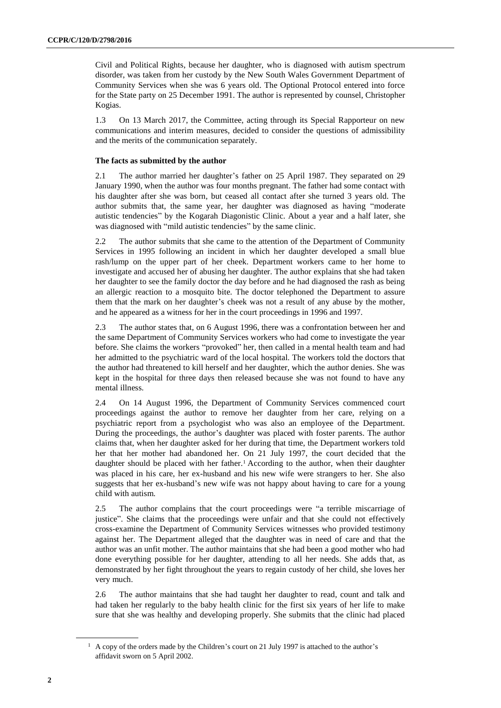Civil and Political Rights, because her daughter, who is diagnosed with autism spectrum disorder, was taken from her custody by the New South Wales Government Department of Community Services when she was 6 years old. The Optional Protocol entered into force for the State party on 25 December 1991. The author is represented by counsel, Christopher Kogias.

1.3 On 13 March 2017, the Committee, acting through its Special Rapporteur on new communications and interim measures, decided to consider the questions of admissibility and the merits of the communication separately.

## **The facts as submitted by the author**

2.1 The author married her daughter's father on 25 April 1987. They separated on 29 January 1990, when the author was four months pregnant. The father had some contact with his daughter after she was born, but ceased all contact after she turned 3 years old. The author submits that, the same year, her daughter was diagnosed as having "moderate autistic tendencies" by the Kogarah Diagonistic Clinic. About a year and a half later, she was diagnosed with "mild autistic tendencies" by the same clinic.

2.2 The author submits that she came to the attention of the Department of Community Services in 1995 following an incident in which her daughter developed a small blue rash/lump on the upper part of her cheek. Department workers came to her home to investigate and accused her of abusing her daughter. The author explains that she had taken her daughter to see the family doctor the day before and he had diagnosed the rash as being an allergic reaction to a mosquito bite. The doctor telephoned the Department to assure them that the mark on her daughter's cheek was not a result of any abuse by the mother, and he appeared as a witness for her in the court proceedings in 1996 and 1997.

2.3 The author states that, on 6 August 1996, there was a confrontation between her and the same Department of Community Services workers who had come to investigate the year before. She claims the workers "provoked" her, then called in a mental health team and had her admitted to the psychiatric ward of the local hospital. The workers told the doctors that the author had threatened to kill herself and her daughter, which the author denies. She was kept in the hospital for three days then released because she was not found to have any mental illness.

2.4 On 14 August 1996, the Department of Community Services commenced court proceedings against the author to remove her daughter from her care, relying on a psychiatric report from a psychologist who was also an employee of the Department. During the proceedings, the author's daughter was placed with foster parents. The author claims that, when her daughter asked for her during that time, the Department workers told her that her mother had abandoned her. On 21 July 1997, the court decided that the daughter should be placed with her father.<sup>1</sup> According to the author, when their daughter was placed in his care, her ex-husband and his new wife were strangers to her. She also suggests that her ex-husband's new wife was not happy about having to care for a young child with autism.

2.5 The author complains that the court proceedings were "a terrible miscarriage of justice". She claims that the proceedings were unfair and that she could not effectively cross-examine the Department of Community Services witnesses who provided testimony against her. The Department alleged that the daughter was in need of care and that the author was an unfit mother. The author maintains that she had been a good mother who had done everything possible for her daughter, attending to all her needs. She adds that, as demonstrated by her fight throughout the years to regain custody of her child, she loves her very much.

2.6 The author maintains that she had taught her daughter to read, count and talk and had taken her regularly to the baby health clinic for the first six years of her life to make sure that she was healthy and developing properly. She submits that the clinic had placed

<sup>&</sup>lt;sup>1</sup> A copy of the orders made by the Children's court on 21 July 1997 is attached to the author's affidavit sworn on 5 April 2002.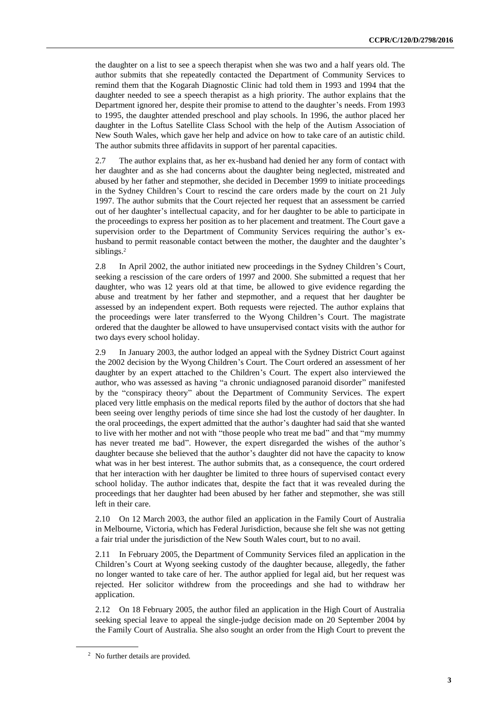the daughter on a list to see a speech therapist when she was two and a half years old. The author submits that she repeatedly contacted the Department of Community Services to remind them that the Kogarah Diagnostic Clinic had told them in 1993 and 1994 that the daughter needed to see a speech therapist as a high priority. The author explains that the Department ignored her, despite their promise to attend to the daughter's needs. From 1993 to 1995, the daughter attended preschool and play schools. In 1996, the author placed her daughter in the Loftus Satellite Class School with the help of the Autism Association of New South Wales, which gave her help and advice on how to take care of an autistic child. The author submits three affidavits in support of her parental capacities.

2.7 The author explains that, as her ex-husband had denied her any form of contact with her daughter and as she had concerns about the daughter being neglected, mistreated and abused by her father and stepmother, she decided in December 1999 to initiate proceedings in the Sydney Children's Court to rescind the care orders made by the court on 21 July 1997. The author submits that the Court rejected her request that an assessment be carried out of her daughter's intellectual capacity, and for her daughter to be able to participate in the proceedings to express her position as to her placement and treatment. The Court gave a supervision order to the Department of Community Services requiring the author's exhusband to permit reasonable contact between the mother, the daughter and the daughter's siblings.<sup>2</sup>

2.8 In April 2002, the author initiated new proceedings in the Sydney Children's Court, seeking a rescission of the care orders of 1997 and 2000. She submitted a request that her daughter, who was 12 years old at that time, be allowed to give evidence regarding the abuse and treatment by her father and stepmother, and a request that her daughter be assessed by an independent expert. Both requests were rejected. The author explains that the proceedings were later transferred to the Wyong Children's Court. The magistrate ordered that the daughter be allowed to have unsupervised contact visits with the author for two days every school holiday.

2.9 In January 2003, the author lodged an appeal with the Sydney District Court against the 2002 decision by the Wyong Children's Court. The Court ordered an assessment of her daughter by an expert attached to the Children's Court. The expert also interviewed the author, who was assessed as having "a chronic undiagnosed paranoid disorder" manifested by the "conspiracy theory" about the Department of Community Services. The expert placed very little emphasis on the medical reports filed by the author of doctors that she had been seeing over lengthy periods of time since she had lost the custody of her daughter. In the oral proceedings, the expert admitted that the author's daughter had said that she wanted to live with her mother and not with "those people who treat me bad" and that "my mummy has never treated me bad". However, the expert disregarded the wishes of the author's daughter because she believed that the author's daughter did not have the capacity to know what was in her best interest. The author submits that, as a consequence, the court ordered that her interaction with her daughter be limited to three hours of supervised contact every school holiday. The author indicates that, despite the fact that it was revealed during the proceedings that her daughter had been abused by her father and stepmother, she was still left in their care.

2.10 On 12 March 2003, the author filed an application in the Family Court of Australia in Melbourne, Victoria, which has Federal Jurisdiction, because she felt she was not getting a fair trial under the jurisdiction of the New South Wales court, but to no avail.

2.11 In February 2005, the Department of Community Services filed an application in the Children's Court at Wyong seeking custody of the daughter because, allegedly, the father no longer wanted to take care of her. The author applied for legal aid, but her request was rejected. Her solicitor withdrew from the proceedings and she had to withdraw her application.

2.12 On 18 February 2005, the author filed an application in the High Court of Australia seeking special leave to appeal the single-judge decision made on 20 September 2004 by the Family Court of Australia. She also sought an order from the High Court to prevent the

<sup>2</sup> No further details are provided.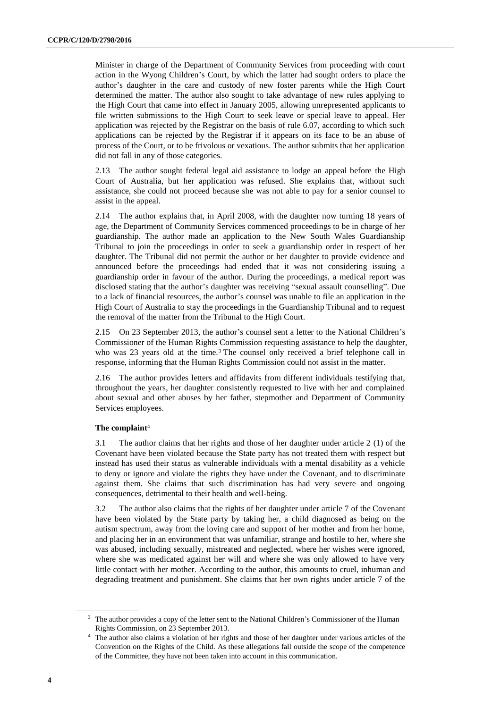Minister in charge of the Department of Community Services from proceeding with court action in the Wyong Children's Court, by which the latter had sought orders to place the author's daughter in the care and custody of new foster parents while the High Court determined the matter. The author also sought to take advantage of new rules applying to the High Court that came into effect in January 2005, allowing unrepresented applicants to file written submissions to the High Court to seek leave or special leave to appeal. Her application was rejected by the Registrar on the basis of rule 6.07, according to which such applications can be rejected by the Registrar if it appears on its face to be an abuse of process of the Court, or to be frivolous or vexatious. The author submits that her application did not fall in any of those categories.

2.13 The author sought federal legal aid assistance to lodge an appeal before the High Court of Australia, but her application was refused. She explains that, without such assistance, she could not proceed because she was not able to pay for a senior counsel to assist in the appeal.

2.14 The author explains that, in April 2008, with the daughter now turning 18 years of age, the Department of Community Services commenced proceedings to be in charge of her guardianship. The author made an application to the New South Wales Guardianship Tribunal to join the proceedings in order to seek a guardianship order in respect of her daughter. The Tribunal did not permit the author or her daughter to provide evidence and announced before the proceedings had ended that it was not considering issuing a guardianship order in favour of the author. During the proceedings, a medical report was disclosed stating that the author's daughter was receiving "sexual assault counselling". Due to a lack of financial resources, the author's counsel was unable to file an application in the High Court of Australia to stay the proceedings in the Guardianship Tribunal and to request the removal of the matter from the Tribunal to the High Court.

2.15 On 23 September 2013, the author's counsel sent a letter to the National Children's Commissioner of the Human Rights Commission requesting assistance to help the daughter, who was 23 years old at the time.<sup>3</sup> The counsel only received a brief telephone call in response, informing that the Human Rights Commission could not assist in the matter.

2.16 The author provides letters and affidavits from different individuals testifying that, throughout the years, her daughter consistently requested to live with her and complained about sexual and other abuses by her father, stepmother and Department of Community Services employees.

### **The complaint**<sup>4</sup>

3.1 The author claims that her rights and those of her daughter under article 2 (1) of the Covenant have been violated because the State party has not treated them with respect but instead has used their status as vulnerable individuals with a mental disability as a vehicle to deny or ignore and violate the rights they have under the Covenant, and to discriminate against them. She claims that such discrimination has had very severe and ongoing consequences, detrimental to their health and well-being.

3.2 The author also claims that the rights of her daughter under article 7 of the Covenant have been violated by the State party by taking her, a child diagnosed as being on the autism spectrum, away from the loving care and support of her mother and from her home, and placing her in an environment that was unfamiliar, strange and hostile to her, where she was abused, including sexually, mistreated and neglected, where her wishes were ignored, where she was medicated against her will and where she was only allowed to have very little contact with her mother. According to the author, this amounts to cruel, inhuman and degrading treatment and punishment. She claims that her own rights under article 7 of the

<sup>&</sup>lt;sup>3</sup> The author provides a copy of the letter sent to the National Children's Commissioner of the Human Rights Commission, on 23 September 2013.

<sup>4</sup> The author also claims a violation of her rights and those of her daughter under various articles of the Convention on the Rights of the Child. As these allegations fall outside the scope of the competence of the Committee, they have not been taken into account in this communication.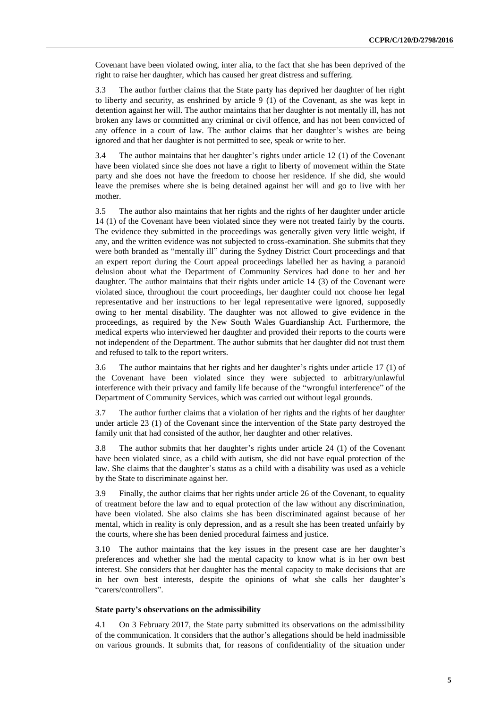Covenant have been violated owing, inter alia, to the fact that she has been deprived of the right to raise her daughter, which has caused her great distress and suffering.

3.3 The author further claims that the State party has deprived her daughter of her right to liberty and security, as enshrined by article 9 (1) of the Covenant, as she was kept in detention against her will. The author maintains that her daughter is not mentally ill, has not broken any laws or committed any criminal or civil offence, and has not been convicted of any offence in a court of law. The author claims that her daughter's wishes are being ignored and that her daughter is not permitted to see, speak or write to her.

3.4 The author maintains that her daughter's rights under article 12 (1) of the Covenant have been violated since she does not have a right to liberty of movement within the State party and she does not have the freedom to choose her residence. If she did, she would leave the premises where she is being detained against her will and go to live with her mother.

3.5 The author also maintains that her rights and the rights of her daughter under article 14 (1) of the Covenant have been violated since they were not treated fairly by the courts. The evidence they submitted in the proceedings was generally given very little weight, if any, and the written evidence was not subjected to cross-examination. She submits that they were both branded as "mentally ill" during the Sydney District Court proceedings and that an expert report during the Court appeal proceedings labelled her as having a paranoid delusion about what the Department of Community Services had done to her and her daughter. The author maintains that their rights under article 14 (3) of the Covenant were violated since, throughout the court proceedings, her daughter could not choose her legal representative and her instructions to her legal representative were ignored, supposedly owing to her mental disability. The daughter was not allowed to give evidence in the proceedings, as required by the New South Wales Guardianship Act. Furthermore, the medical experts who interviewed her daughter and provided their reports to the courts were not independent of the Department. The author submits that her daughter did not trust them and refused to talk to the report writers.

3.6 The author maintains that her rights and her daughter's rights under article 17 (1) of the Covenant have been violated since they were subjected to arbitrary/unlawful interference with their privacy and family life because of the "wrongful interference" of the Department of Community Services, which was carried out without legal grounds.

3.7 The author further claims that a violation of her rights and the rights of her daughter under article 23 (1) of the Covenant since the intervention of the State party destroyed the family unit that had consisted of the author, her daughter and other relatives.

3.8 The author submits that her daughter's rights under article 24 (1) of the Covenant have been violated since, as a child with autism, she did not have equal protection of the law. She claims that the daughter's status as a child with a disability was used as a vehicle by the State to discriminate against her.

3.9 Finally, the author claims that her rights under article 26 of the Covenant, to equality of treatment before the law and to equal protection of the law without any discrimination, have been violated. She also claims she has been discriminated against because of her mental, which in reality is only depression, and as a result she has been treated unfairly by the courts, where she has been denied procedural fairness and justice.

3.10 The author maintains that the key issues in the present case are her daughter's preferences and whether she had the mental capacity to know what is in her own best interest. She considers that her daughter has the mental capacity to make decisions that are in her own best interests, despite the opinions of what she calls her daughter's "carers/controllers".

#### **State party's observations on the admissibility**

4.1 On 3 February 2017, the State party submitted its observations on the admissibility of the communication. It considers that the author's allegations should be held inadmissible on various grounds. It submits that, for reasons of confidentiality of the situation under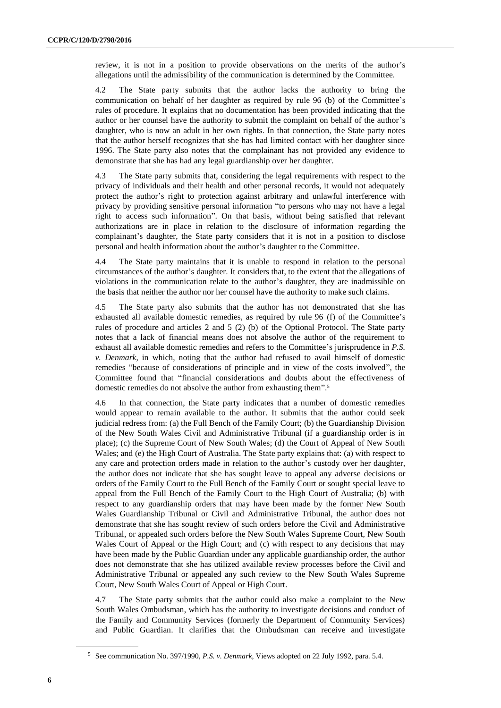review, it is not in a position to provide observations on the merits of the author's allegations until the admissibility of the communication is determined by the Committee.

4.2 The State party submits that the author lacks the authority to bring the communication on behalf of her daughter as required by rule 96 (b) of the Committee's rules of procedure. It explains that no documentation has been provided indicating that the author or her counsel have the authority to submit the complaint on behalf of the author's daughter, who is now an adult in her own rights. In that connection, the State party notes that the author herself recognizes that she has had limited contact with her daughter since 1996. The State party also notes that the complainant has not provided any evidence to demonstrate that she has had any legal guardianship over her daughter.

4.3 The State party submits that, considering the legal requirements with respect to the privacy of individuals and their health and other personal records, it would not adequately protect the author's right to protection against arbitrary and unlawful interference with privacy by providing sensitive personal information "to persons who may not have a legal right to access such information". On that basis, without being satisfied that relevant authorizations are in place in relation to the disclosure of information regarding the complainant's daughter, the State party considers that it is not in a position to disclose personal and health information about the author's daughter to the Committee.

4.4 The State party maintains that it is unable to respond in relation to the personal circumstances of the author's daughter. It considers that, to the extent that the allegations of violations in the communication relate to the author's daughter, they are inadmissible on the basis that neither the author nor her counsel have the authority to make such claims.

4.5 The State party also submits that the author has not demonstrated that she has exhausted all available domestic remedies, as required by rule 96 (f) of the Committee's rules of procedure and articles 2 and 5 (2) (b) of the Optional Protocol. The State party notes that a lack of financial means does not absolve the author of the requirement to exhaust all available domestic remedies and refers to the Committee's jurisprudence in *P.S. v. Denmark*, in which, noting that the author had refused to avail himself of domestic remedies "because of considerations of principle and in view of the costs involved", the Committee found that "financial considerations and doubts about the effectiveness of domestic remedies do not absolve the author from exhausting them". 5

4.6 In that connection, the State party indicates that a number of domestic remedies would appear to remain available to the author. It submits that the author could seek judicial redress from: (a) the Full Bench of the Family Court; (b) the Guardianship Division of the New South Wales Civil and Administrative Tribunal (if a guardianship order is in place); (c) the Supreme Court of New South Wales; (d) the Court of Appeal of New South Wales; and (e) the High Court of Australia. The State party explains that: (a) with respect to any care and protection orders made in relation to the author's custody over her daughter, the author does not indicate that she has sought leave to appeal any adverse decisions or orders of the Family Court to the Full Bench of the Family Court or sought special leave to appeal from the Full Bench of the Family Court to the High Court of Australia; (b) with respect to any guardianship orders that may have been made by the former New South Wales Guardianship Tribunal or Civil and Administrative Tribunal, the author does not demonstrate that she has sought review of such orders before the Civil and Administrative Tribunal, or appealed such orders before the New South Wales Supreme Court, New South Wales Court of Appeal or the High Court; and (c) with respect to any decisions that may have been made by the Public Guardian under any applicable guardianship order, the author does not demonstrate that she has utilized available review processes before the Civil and Administrative Tribunal or appealed any such review to the New South Wales Supreme Court, New South Wales Court of Appeal or High Court.

4.7 The State party submits that the author could also make a complaint to the New South Wales Ombudsman, which has the authority to investigate decisions and conduct of the Family and Community Services (formerly the Department of Community Services) and Public Guardian. It clarifies that the Ombudsman can receive and investigate

<sup>5</sup> See communication No. 397/1990, *P.S. v. Denmark*, Views adopted on 22 July 1992, para. 5.4.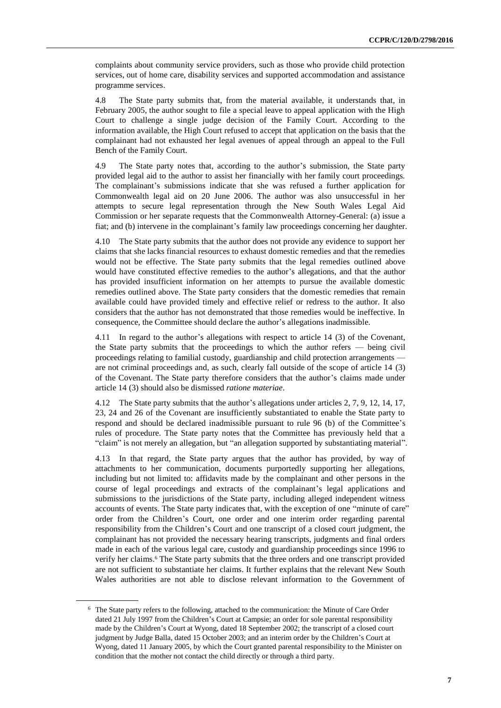complaints about community service providers, such as those who provide child protection services, out of home care, disability services and supported accommodation and assistance programme services.

4.8 The State party submits that, from the material available, it understands that, in February 2005, the author sought to file a special leave to appeal application with the High Court to challenge a single judge decision of the Family Court. According to the information available, the High Court refused to accept that application on the basis that the complainant had not exhausted her legal avenues of appeal through an appeal to the Full Bench of the Family Court.

4.9 The State party notes that, according to the author's submission, the State party provided legal aid to the author to assist her financially with her family court proceedings. The complainant's submissions indicate that she was refused a further application for Commonwealth legal aid on 20 June 2006. The author was also unsuccessful in her attempts to secure legal representation through the New South Wales Legal Aid Commission or her separate requests that the Commonwealth Attorney-General: (a) issue a fiat; and (b) intervene in the complainant's family law proceedings concerning her daughter.

4.10 The State party submits that the author does not provide any evidence to support her claims that she lacks financial resources to exhaust domestic remedies and that the remedies would not be effective. The State party submits that the legal remedies outlined above would have constituted effective remedies to the author's allegations, and that the author has provided insufficient information on her attempts to pursue the available domestic remedies outlined above. The State party considers that the domestic remedies that remain available could have provided timely and effective relief or redress to the author. It also considers that the author has not demonstrated that those remedies would be ineffective. In consequence, the Committee should declare the author's allegations inadmissible.

4.11 In regard to the author's allegations with respect to article 14 (3) of the Covenant, the State party submits that the proceedings to which the author refers — being civil proceedings relating to familial custody, guardianship and child protection arrangements are not criminal proceedings and, as such, clearly fall outside of the scope of article 14 (3) of the Covenant. The State party therefore considers that the author's claims made under article 14 (3) should also be dismissed *ratione materiae*.

4.12 The State party submits that the author's allegations under articles 2, 7, 9, 12, 14, 17, 23, 24 and 26 of the Covenant are insufficiently substantiated to enable the State party to respond and should be declared inadmissible pursuant to rule 96 (b) of the Committee's rules of procedure. The State party notes that the Committee has previously held that a "claim" is not merely an allegation, but "an allegation supported by substantiating material".

4.13 In that regard, the State party argues that the author has provided, by way of attachments to her communication, documents purportedly supporting her allegations, including but not limited to: affidavits made by the complainant and other persons in the course of legal proceedings and extracts of the complainant's legal applications and submissions to the jurisdictions of the State party, including alleged independent witness accounts of events. The State party indicates that, with the exception of one "minute of care" order from the Children's Court, one order and one interim order regarding parental responsibility from the Children's Court and one transcript of a closed court judgment, the complainant has not provided the necessary hearing transcripts, judgments and final orders made in each of the various legal care, custody and guardianship proceedings since 1996 to verify her claims.<sup>6</sup> The State party submits that the three orders and one transcript provided are not sufficient to substantiate her claims. It further explains that the relevant New South Wales authorities are not able to disclose relevant information to the Government of

<sup>6</sup> The State party refers to the following, attached to the communication: the Minute of Care Order dated 21 July 1997 from the Children's Court at Campsie; an order for sole parental responsibility made by the Children's Court at Wyong, dated 18 September 2002; the transcript of a closed court judgment by Judge Balla, dated 15 October 2003; and an interim order by the Children's Court at Wyong, dated 11 January 2005, by which the Court granted parental responsibility to the Minister on condition that the mother not contact the child directly or through a third party.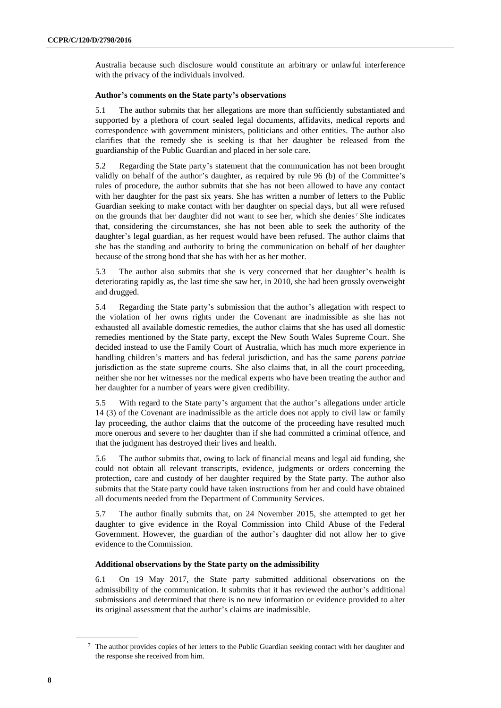Australia because such disclosure would constitute an arbitrary or unlawful interference with the privacy of the individuals involved.

## **Author's comments on the State party's observations**

5.1 The author submits that her allegations are more than sufficiently substantiated and supported by a plethora of court sealed legal documents, affidavits, medical reports and correspondence with government ministers, politicians and other entities. The author also clarifies that the remedy she is seeking is that her daughter be released from the guardianship of the Public Guardian and placed in her sole care.

5.2 Regarding the State party's statement that the communication has not been brought validly on behalf of the author's daughter, as required by rule 96 (b) of the Committee's rules of procedure, the author submits that she has not been allowed to have any contact with her daughter for the past six years. She has written a number of letters to the Public Guardian seeking to make contact with her daughter on special days, but all were refused on the grounds that her daughter did not want to see her, which she denies<sup>7</sup> She indicates that, considering the circumstances, she has not been able to seek the authority of the daughter's legal guardian, as her request would have been refused. The author claims that she has the standing and authority to bring the communication on behalf of her daughter because of the strong bond that she has with her as her mother.

5.3 The author also submits that she is very concerned that her daughter's health is deteriorating rapidly as, the last time she saw her, in 2010, she had been grossly overweight and drugged.

5.4 Regarding the State party's submission that the author's allegation with respect to the violation of her owns rights under the Covenant are inadmissible as she has not exhausted all available domestic remedies, the author claims that she has used all domestic remedies mentioned by the State party, except the New South Wales Supreme Court. She decided instead to use the Family Court of Australia, which has much more experience in handling children's matters and has federal jurisdiction, and has the same *parens patriae* jurisdiction as the state supreme courts. She also claims that, in all the court proceeding, neither she nor her witnesses nor the medical experts who have been treating the author and her daughter for a number of years were given credibility.

5.5 With regard to the State party's argument that the author's allegations under article 14 (3) of the Covenant are inadmissible as the article does not apply to civil law or family lay proceeding, the author claims that the outcome of the proceeding have resulted much more onerous and severe to her daughter than if she had committed a criminal offence, and that the judgment has destroyed their lives and health.

5.6 The author submits that, owing to lack of financial means and legal aid funding, she could not obtain all relevant transcripts, evidence, judgments or orders concerning the protection, care and custody of her daughter required by the State party. The author also submits that the State party could have taken instructions from her and could have obtained all documents needed from the Department of Community Services.

5.7 The author finally submits that, on 24 November 2015, she attempted to get her daughter to give evidence in the Royal Commission into Child Abuse of the Federal Government. However, the guardian of the author's daughter did not allow her to give evidence to the Commission.

# **Additional observations by the State party on the admissibility**

6.1 On 19 May 2017, the State party submitted additional observations on the admissibility of the communication. It submits that it has reviewed the author's additional submissions and determined that there is no new information or evidence provided to alter its original assessment that the author's claims are inadmissible.

<sup>7</sup> The author provides copies of her letters to the Public Guardian seeking contact with her daughter and the response she received from him.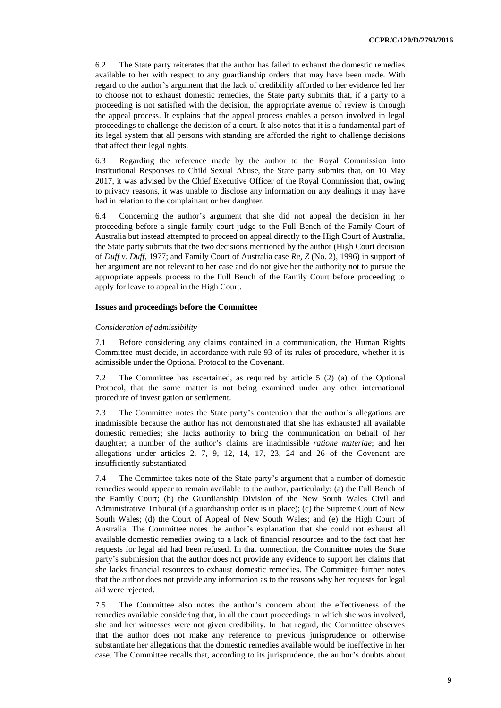6.2 The State party reiterates that the author has failed to exhaust the domestic remedies available to her with respect to any guardianship orders that may have been made. With regard to the author's argument that the lack of credibility afforded to her evidence led her to choose not to exhaust domestic remedies, the State party submits that, if a party to a proceeding is not satisfied with the decision, the appropriate avenue of review is through the appeal process. It explains that the appeal process enables a person involved in legal proceedings to challenge the decision of a court. It also notes that it is a fundamental part of its legal system that all persons with standing are afforded the right to challenge decisions that affect their legal rights.

6.3 Regarding the reference made by the author to the Royal Commission into Institutional Responses to Child Sexual Abuse, the State party submits that, on 10 May 2017, it was advised by the Chief Executive Officer of the Royal Commission that, owing to privacy reasons, it was unable to disclose any information on any dealings it may have had in relation to the complainant or her daughter.

6.4 Concerning the author's argument that she did not appeal the decision in her proceeding before a single family court judge to the Full Bench of the Family Court of Australia but instead attempted to proceed on appeal directly to the High Court of Australia, the State party submits that the two decisions mentioned by the author (High Court decision of *Duff v. Duff*, 1977; and Family Court of Australia case *Re, Z* (No. 2), 1996) in support of her argument are not relevant to her case and do not give her the authority not to pursue the appropriate appeals process to the Full Bench of the Family Court before proceeding to apply for leave to appeal in the High Court.

#### **Issues and proceedings before the Committee**

#### *Consideration of admissibility*

7.1 Before considering any claims contained in a communication, the Human Rights Committee must decide, in accordance with rule 93 of its rules of procedure, whether it is admissible under the Optional Protocol to the Covenant.

7.2 The Committee has ascertained, as required by article 5 (2) (a) of the Optional Protocol, that the same matter is not being examined under any other international procedure of investigation or settlement.

7.3 The Committee notes the State party's contention that the author's allegations are inadmissible because the author has not demonstrated that she has exhausted all available domestic remedies; she lacks authority to bring the communication on behalf of her daughter; a number of the author's claims are inadmissible *ratione materiae*; and her allegations under articles 2, 7, 9, 12, 14, 17, 23, 24 and 26 of the Covenant are insufficiently substantiated.

7.4 The Committee takes note of the State party's argument that a number of domestic remedies would appear to remain available to the author, particularly: (a) the Full Bench of the Family Court; (b) the Guardianship Division of the New South Wales Civil and Administrative Tribunal (if a guardianship order is in place); (c) the Supreme Court of New South Wales; (d) the Court of Appeal of New South Wales; and (e) the High Court of Australia. The Committee notes the author's explanation that she could not exhaust all available domestic remedies owing to a lack of financial resources and to the fact that her requests for legal aid had been refused. In that connection, the Committee notes the State party's submission that the author does not provide any evidence to support her claims that she lacks financial resources to exhaust domestic remedies. The Committee further notes that the author does not provide any information as to the reasons why her requests for legal aid were rejected.

7.5 The Committee also notes the author's concern about the effectiveness of the remedies available considering that, in all the court proceedings in which she was involved, she and her witnesses were not given credibility. In that regard, the Committee observes that the author does not make any reference to previous jurisprudence or otherwise substantiate her allegations that the domestic remedies available would be ineffective in her case. The Committee recalls that, according to its jurisprudence, the author's doubts about